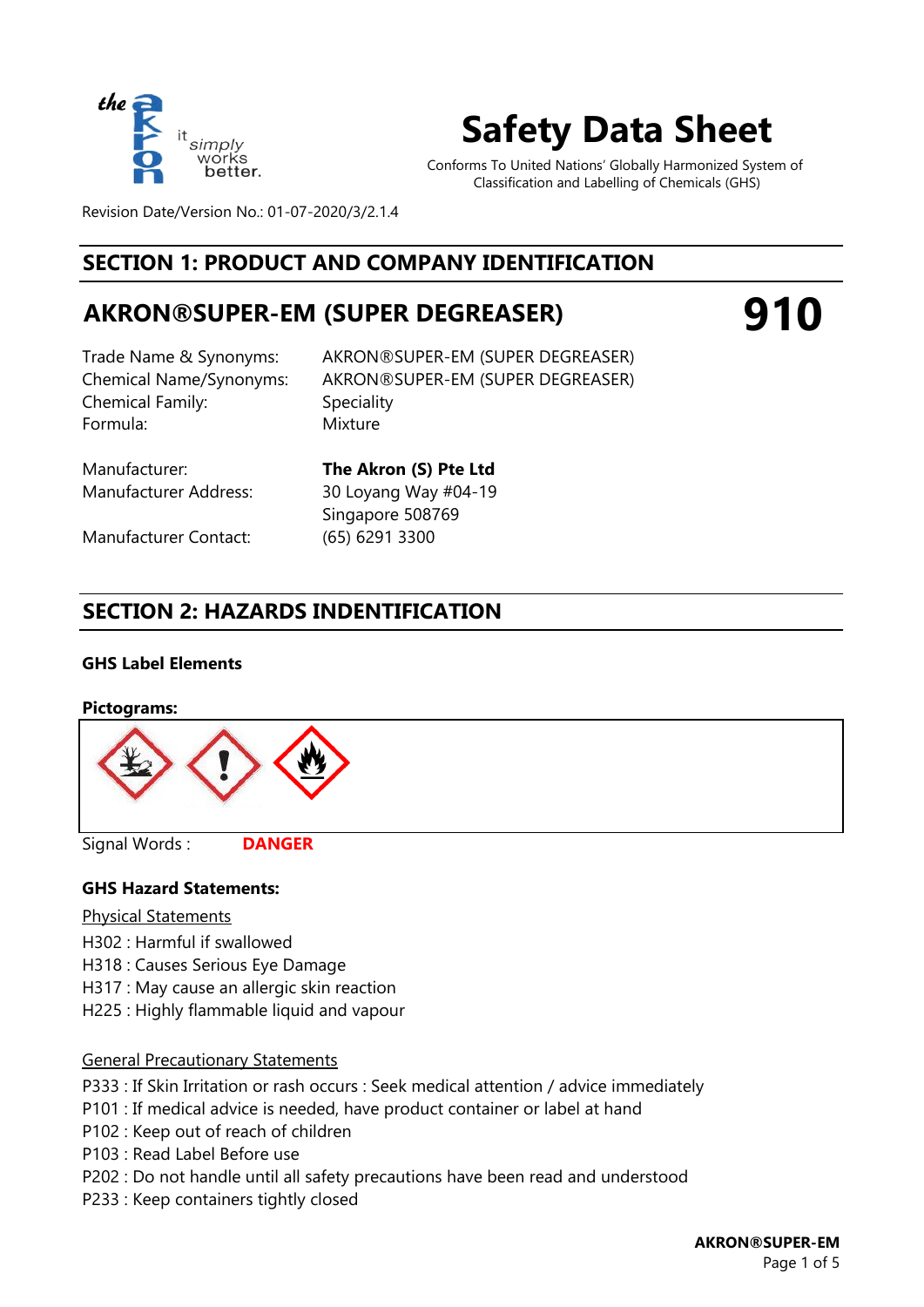

## **Safety Data Sheet**

Conforms To United Nations' Globally Harmonized System of Classification and Labelling of Chemicals (GHS)

**910**

Revision Date/Version No.: 01-07-2020/3/2.1.4

## **SECTION 1: PRODUCT AND COMPANY IDENTIFICATION**

## **AKRON®SUPER-EM (SUPER DEGREASER)**

Chemical Family: Formula: Mixture

Trade Name & Synonyms: AKRON®SUPER-EM (SUPER DEGREASER) Chemical Name/Synonyms: AKRON®SUPER-EM (SUPER DEGREASER) **Speciality** 

Manufacturer: **The Akron (S) Pte Ltd**

Manufacturer Contact: (65) 6291 3300

Manufacturer Address: 30 Loyang Way #04-19 Singapore 508769

## **SECTION 2: HAZARDS INDENTIFICATION**

#### **GHS Label Elements**

# **Pictograms: DANGER**

Signal Words :

#### **GHS Hazard Statements:**

#### Physical Statements

- H302 : Harmful if swallowed
- H318 : Causes Serious Eye Damage
- H317 : May cause an allergic skin reaction
- H225 : Highly flammable liquid and vapour

#### General Precautionary Statements

- P333 : If Skin Irritation or rash occurs : Seek medical attention / advice immediately
- P101 : If medical advice is needed, have product container or label at hand
- P102 : Keep out of reach of children
- P103 : Read Label Before use
- P202 : Do not handle until all safety precautions have been read and understood
- P233 : Keep containers tightly closed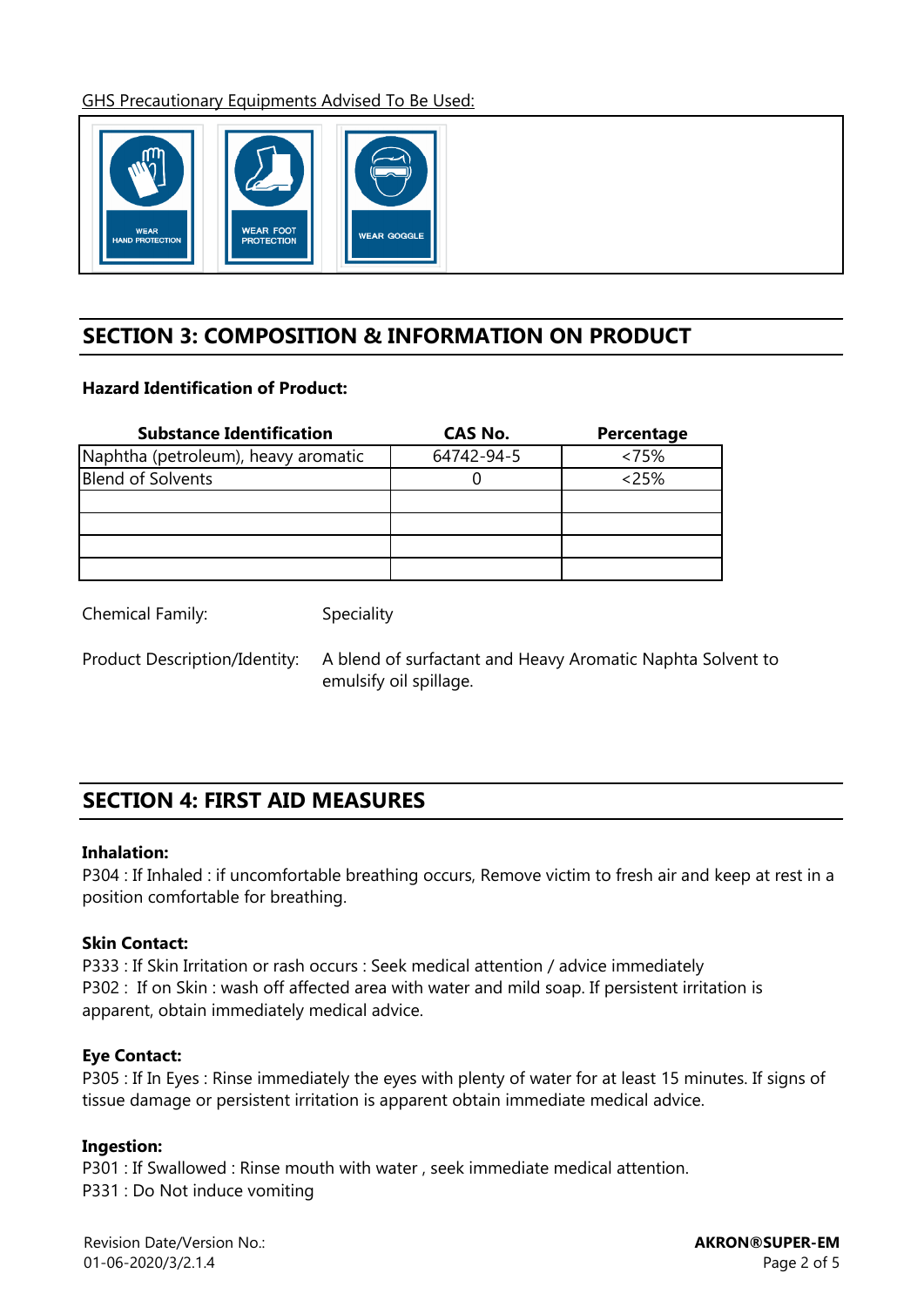GHS Precautionary Equipments Advised To Be Used:



## **SECTION 3: COMPOSITION & INFORMATION ON PRODUCT**

#### **Hazard Identification of Product:**

| <b>Substance Identification</b>     | CAS No.    | Percentage |
|-------------------------------------|------------|------------|
| Naphtha (petroleum), heavy aromatic | 64742-94-5 | $<75\%$    |
| <b>Blend of Solvents</b>            |            | $<$ 25%    |
|                                     |            |            |
|                                     |            |            |
|                                     |            |            |
|                                     |            |            |

Speciality

Chemical Family:

Product Description/Identity:

A blend of surfactant and Heavy Aromatic Naphta Solvent to emulsify oil spillage.

## **SECTION 4: FIRST AID MEASURES**

#### **Inhalation:**

P304 : If Inhaled : if uncomfortable breathing occurs, Remove victim to fresh air and keep at rest in a position comfortable for breathing.

#### **Skin Contact:**

P333 : If Skin Irritation or rash occurs : Seek medical attention / advice immediately P302 : If on Skin : wash off affected area with water and mild soap. If persistent irritation is apparent, obtain immediately medical advice.

#### **Eye Contact:**

P305 : If In Eyes : Rinse immediately the eyes with plenty of water for at least 15 minutes. If signs of tissue damage or persistent irritation is apparent obtain immediate medical advice.

#### **Ingestion:**

P301 : If Swallowed : Rinse mouth with water , seek immediate medical attention. P331 : Do Not induce vomiting

Revision Date/Version No.: 01-06-2020/3/2.1.4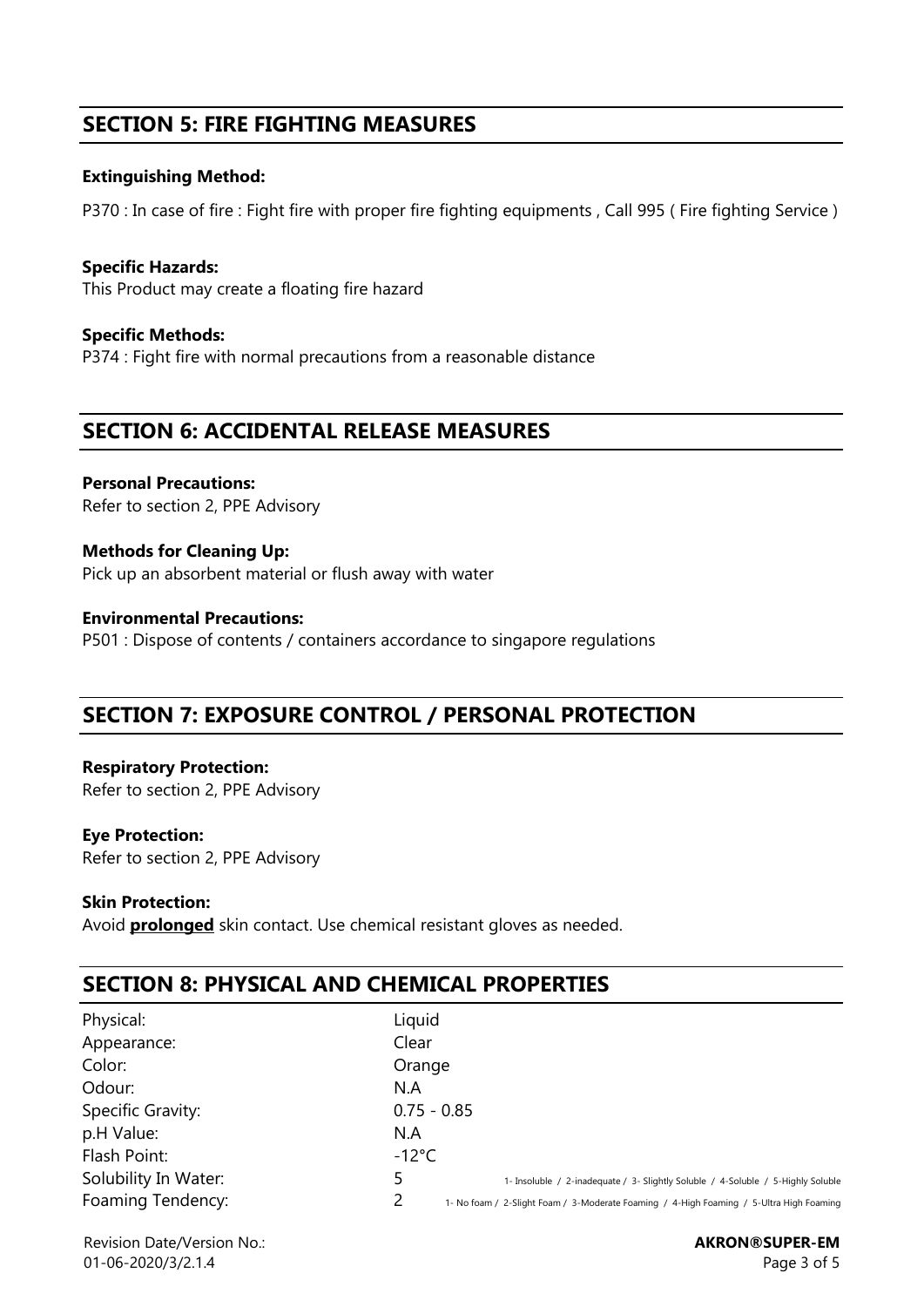## **SECTION 5: FIRE FIGHTING MEASURES**

#### **Extinguishing Method:**

P370 : In case of fire : Fight fire with proper fire fighting equipments , Call 995 ( Fire fighting Service )

**Specific Hazards:**  This Product may create a floating fire hazard

**Specific Methods:** P374 : Fight fire with normal precautions from a reasonable distance

## **SECTION 6: ACCIDENTAL RELEASE MEASURES**

**Personal Precautions:**  Refer to section 2, PPE Advisory

**Methods for Cleaning Up:** Pick up an absorbent material or flush away with water

**Environmental Precautions:** P501 : Dispose of contents / containers accordance to singapore regulations

## **SECTION 7: EXPOSURE CONTROL / PERSONAL PROTECTION**

**Respiratory Protection:**  Refer to section 2, PPE Advisory

#### **Eye Protection:**

Refer to section 2, PPE Advisory

#### **Skin Protection:**

Avoid **prolonged** skin contact. Use chemical resistant gloves as needed.

## **SECTION 8: PHYSICAL AND CHEMICAL PROPERTIES**

| Physical:            | Liquid                                                                                  |  |
|----------------------|-----------------------------------------------------------------------------------------|--|
| Appearance:          | Clear                                                                                   |  |
| Color:               | Orange                                                                                  |  |
| Odour:               | N.A                                                                                     |  |
| Specific Gravity:    | $0.75 - 0.85$                                                                           |  |
| p.H Value:           | N.A                                                                                     |  |
| Flash Point:         | $-12^{\circ}$ C                                                                         |  |
| Solubility In Water: | 1- Insoluble / 2-inadequate / 3- Slightly Soluble / 4-Soluble / 5-Highly Soluble        |  |
| Foaming Tendency:    | 1- No foam / 2-Slight Foam / 3-Moderate Foaming / 4-High Foaming / 5-Ultra High Foaming |  |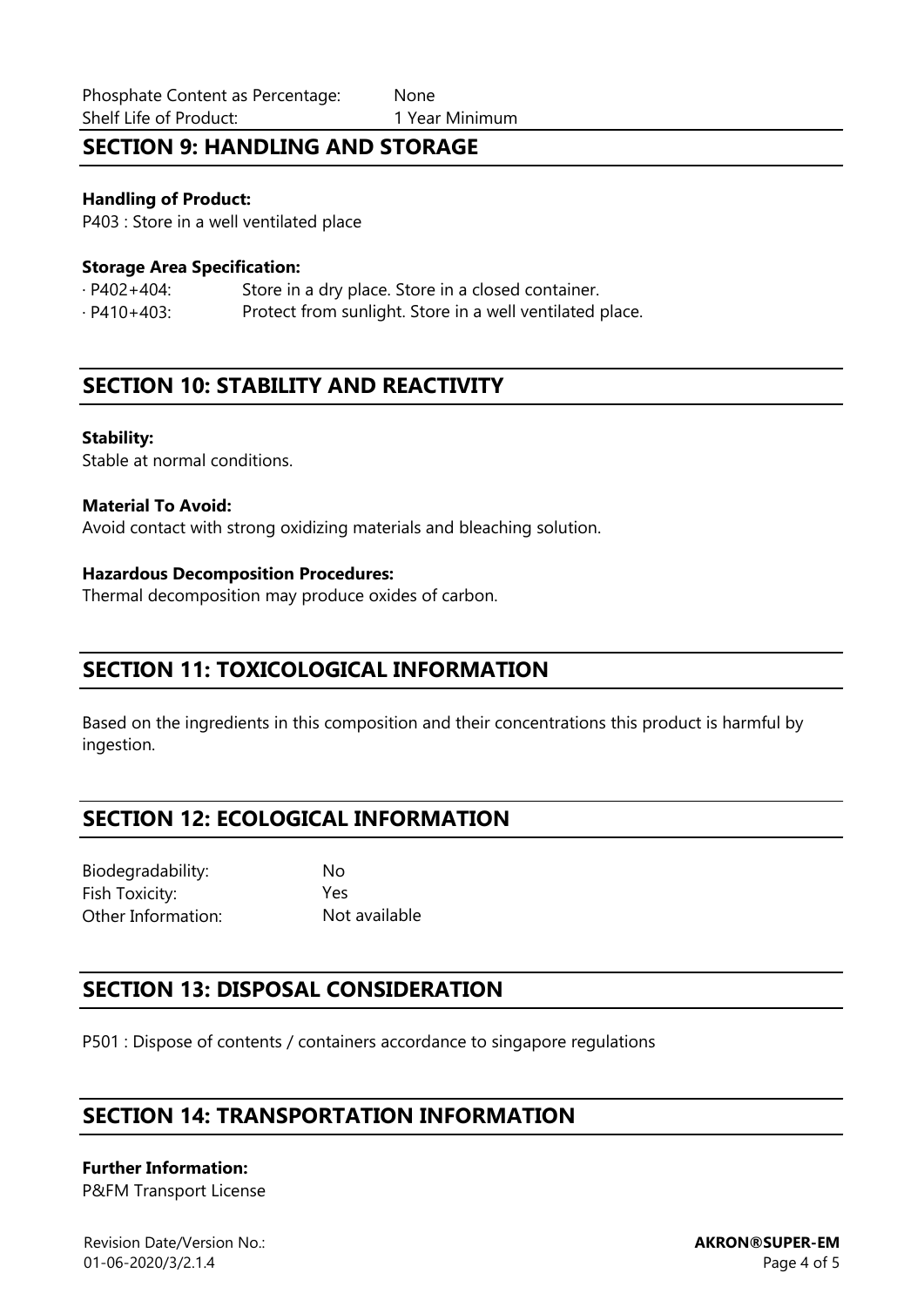## **SECTION 9: HANDLING AND STORAGE**

#### **Handling of Product:**

P403 : Store in a well ventilated place

#### **Storage Area Specification:**

· P402+404: Store in a dry place. Store in a closed container. · P410+403: Protect from sunlight. Store in a well ventilated place.

## **SECTION 10: STABILITY AND REACTIVITY**

#### **Stability:**

Stable at normal conditions.

#### **Material To Avoid:**

Avoid contact with strong oxidizing materials and bleaching solution.

#### **Hazardous Decomposition Procedures:**

Thermal decomposition may produce oxides of carbon.

### **SECTION 11: TOXICOLOGICAL INFORMATION**

Based on the ingredients in this composition and their concentrations this product is harmful by ingestion.

## **SECTION 12: ECOLOGICAL INFORMATION**

Biodegradability: No Fish Toxicity: Yes Other Information: Not available

## **SECTION 13: DISPOSAL CONSIDERATION**

P501 : Dispose of contents / containers accordance to singapore regulations

## **SECTION 14: TRANSPORTATION INFORMATION**

#### **Further Information:**

P&FM Transport License